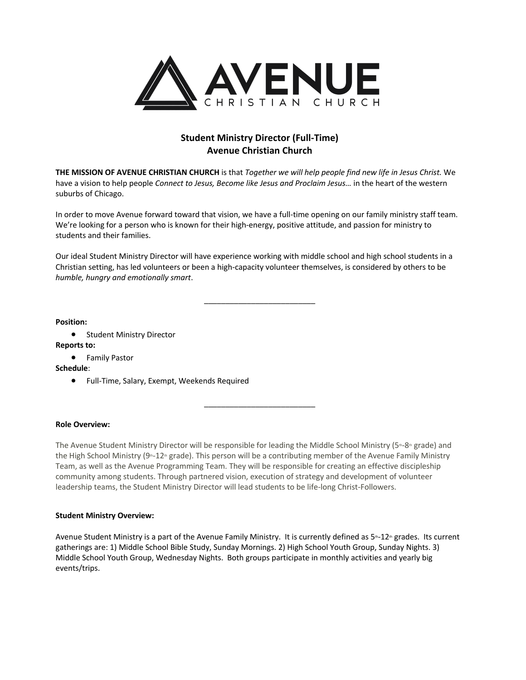

# **Student Ministry Director (Full-Time) Avenue Christian Church**

**THE MISSION OF AVENUE CHRISTIAN CHURCH** is that *Together we will help people find new life in Jesus Christ.* We have a vision to help people *Connect to Jesus, Become like Jesus and Proclaim Jesus…* in the heart of the western suburbs of Chicago.

In order to move Avenue forward toward that vision, we have a full-time opening on our family ministry staff team. We're looking for a person who is known for their high-energy, positive attitude, and passion for ministry to students and their families.

Our ideal Student Ministry Director will have experience working with middle school and high school students in a Christian setting, has led volunteers or been a high-capacity volunteer themselves, is considered by others to be *humble, hungry and emotionally smart*.

\_\_\_\_\_\_\_\_\_\_\_\_\_\_\_\_\_\_\_\_\_\_\_\_\_\_

**Position:**

• Student Ministry Director **Reports to:**

• Family Pastor

**Schedule**:

• Full-Time, Salary, Exempt, Weekends Required

## **Role Overview:**

The Avenue Student Ministry Director will be responsible for leading the Middle School Ministry (5th-8th grade) and the High School Ministry (9<sup>th-12th</sup> grade). This person will be a contributing member of the Avenue Family Ministry Team, as well as the Avenue Programming Team. They will be responsible for creating an effective discipleship community among students. Through partnered vision, execution of strategy and development of volunteer leadership teams, the Student Ministry Director will lead students to be life-long Christ-Followers.

\_\_\_\_\_\_\_\_\_\_\_\_\_\_\_\_\_\_\_\_\_\_\_\_\_\_

## **Student Ministry Overview:**

Avenue Student Ministry is a part of the Avenue Family Ministry. It is currently defined as  $5-12$  grades. Its current gatherings are: 1) Middle School Bible Study, Sunday Mornings. 2) High School Youth Group, Sunday Nights. 3) Middle School Youth Group, Wednesday Nights. Both groups participate in monthly activities and yearly big events/trips.